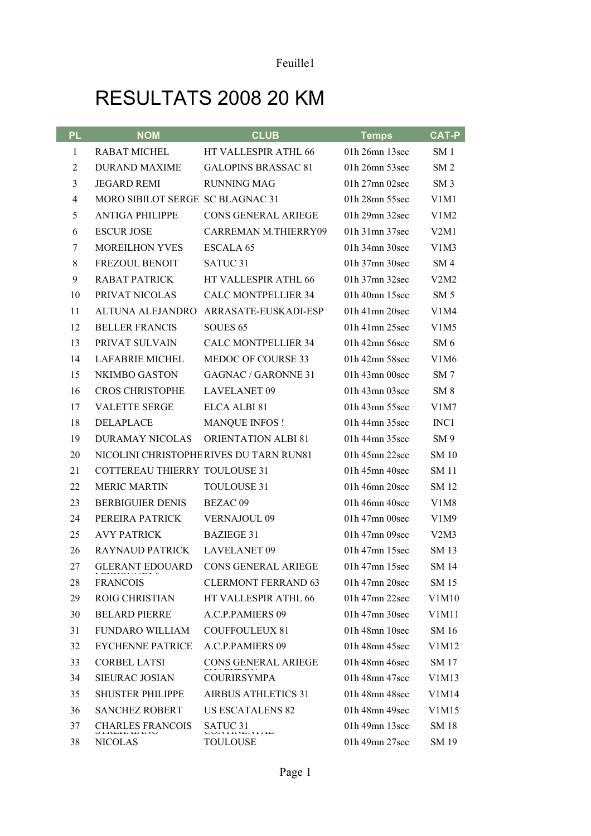# RESULTATS 2008 20 KM

| <b>PL</b>      | <b>NOM</b>                               | <b>CLUB</b>                            | <b>Temps</b>       | <b>CAT-P</b>                  |
|----------------|------------------------------------------|----------------------------------------|--------------------|-------------------------------|
| $\mathbf{1}$   | <b>RABAT MICHEL</b>                      | HT VALLESPIR ATHL 66                   | 01h 26mn 13sec     | SM <sub>1</sub>               |
| $\overline{2}$ | <b>DURAND MAXIME</b>                     | <b>GALOPINS BRASSAC 81</b>             | 01h 26mn 53sec     | SM <sub>2</sub>               |
| 3              | <b>JEGARD REMI</b>                       | <b>RUNNING MAG</b>                     | 01h 27mn 02sec     | SM <sub>3</sub>               |
| $\overline{4}$ | MORO SIBILOT SERGE SC BLAGNAC 31         |                                        | 01h 28mn 55sec     | V1M1                          |
| 5              | <b>ANTIGA PHILIPPE</b>                   | <b>CONS GENERAL ARIEGE</b>             | 01h 29mn 32sec     | V1M2                          |
| 6              | <b>ESCUR JOSE</b>                        | CARREMAN M.THIERRY09                   | 01h 31mn 37sec     | V2M1                          |
| 7              | <b>MOREILHON YVES</b>                    | <b>ESCALA 65</b>                       | 01h 34mn 30sec     | V1M3                          |
| 8              | FREZOUL BENOIT                           | SATUC <sub>31</sub>                    | 01h 37mn 30sec     | SM <sub>4</sub>               |
| 9              | <b>RABAT PATRICK</b>                     | HT VALLESPIR ATHL 66                   | 01h 37mn 32sec     | V2M2                          |
| 10             | PRIVAT NICOLAS                           | <b>CALC MONTPELLIER 34</b>             | 01h 40mn 15sec     | SM <sub>5</sub>               |
| 11             | ALTUNA ALEJANDRO                         | ARRASATE-EUSKADI-ESP                   | 01h 41mn 20sec     | V <sub>1</sub> M <sub>4</sub> |
| 12             | <b>BELLER FRANCIS</b>                    | SOUES <sub>65</sub>                    | 01h 41mn 25sec     | V1M5                          |
| 13             | PRIVAT SULVAIN                           | <b>CALC MONTPELLIER 34</b>             | 01h 42mn 56sec     | SM <sub>6</sub>               |
| 14             | <b>LAFABRIE MICHEL</b>                   | MEDOC OF COURSE 33                     | 01h 42mn 58sec     | V <sub>1</sub> M <sub>6</sub> |
| 15             | NKIMBO GASTON                            | <b>GAGNAC / GARONNE 31</b>             | $01h$ 43mn 00sec   | SM <sub>7</sub>               |
| 16             | <b>CROS CHRISTOPHE</b>                   | <b>LAVELANET 09</b>                    | 01h 43mn 03sec     | SM 8                          |
| 17             | <b>VALETTE SERGE</b>                     | ELCA ALBI 81                           | 01h 43mn 55sec     | V1M7                          |
| 18             | DELAPLACE                                | <b>MANQUE INFOS!</b>                   | 01h 44mn 35sec     | INC <sub>1</sub>              |
| 19             | <b>DURAMAY NICOLAS</b>                   | <b>ORIENTATION ALBI 81</b>             | 01h 44mn 35sec     | SM <sub>9</sub>               |
| 20             |                                          | NICOLINI CHRISTOPHERIVES DU TARN RUN81 | 01h 45mn 22sec     | <b>SM 10</b>                  |
| 21             | COTTEREAU THIERRY TOULOUSE 31            |                                        | $01h$ 45mn 40sec   | <b>SM11</b>                   |
| 22             | <b>MERIC MARTIN</b>                      | <b>TOULOUSE 31</b>                     | 01h 46mn 20sec     | SM 12                         |
| 23             | <b>BERBIGUIER DENIS</b>                  | <b>BEZAC 09</b>                        | 01h 46mn 40sec     | V <sub>1</sub> M <sub>8</sub> |
| 24             | PEREIRA PATRICK                          | <b>VERNAJOUL 09</b>                    | $01h$ 47mn 00sec   | V1M9                          |
| 25             | <b>AVY PATRICK</b>                       | <b>BAZIEGE 31</b>                      | $01h$ 47mn 09sec   | V2M3                          |
| 26             | <b>RAYNAUD PATRICK</b>                   | <b>LAVELANET 09</b>                    | $01h$ 47mn 15sec   | SM 13                         |
| 27             |                                          | GLERANT EDOUARD CONS GENERAL ARIEGE    | 01h 47mn 15sec     | SM 14                         |
| 28             | <u>i bissolinna v</u><br><b>FRANCOIS</b> | <b>CLERMONT FERRAND 63</b>             | 01h 47mn 20sec     | SM 15                         |
| 29             | ROIG CHRISTIAN                           | HT VALLESPIR ATHL 66                   | $01h$ 47mn 22sec   | V1M10                         |
| 30             | <b>BELARD PIERRE</b>                     | A.C.P.PAMIERS 09                       | $01h$ 47mn 30sec   | V1M11                         |
| 31             | <b>FUNDARO WILLIAM</b>                   | <b>COUFFOULEUX 81</b>                  | $01h$ 48mn $10sec$ | SM 16                         |
| 32             | <b>EYCHENNE PATRICE</b>                  | A.C.P.PAMIERS 09                       | 01h 48mn 45sec     | V1M12                         |
| 33             | <b>CORBEL LATSI</b>                      | CONS GENERAL ARIEGE                    | 01h 48mn 46sec     | SM 17                         |
| 34             | <b>SIEURAC JOSIAN</b>                    | <b>COURIRSYMPA</b>                     | 01h 48mn 47sec     | V1M13                         |
| 35             | <b>SHUSTER PHILIPPE</b>                  | <b>AIRBUS ATHLETICS 31</b>             | 01h 48mn 48sec     | V1M14                         |
| 36             | <b>SANCHEZ ROBERT</b>                    | <b>US ESCATALENS 82</b>                | 01h 48mn 49sec     | V1M15                         |
| 37             | <b>CHARLES FRANCOIS</b>                  | SATUC 31                               | $01h$ 49mn 13sec   | <b>SM18</b>                   |
| 38             | <b>NICOLAS</b>                           | <b>TOULOUSE</b>                        | 01h 49mn 27sec     | SM 19                         |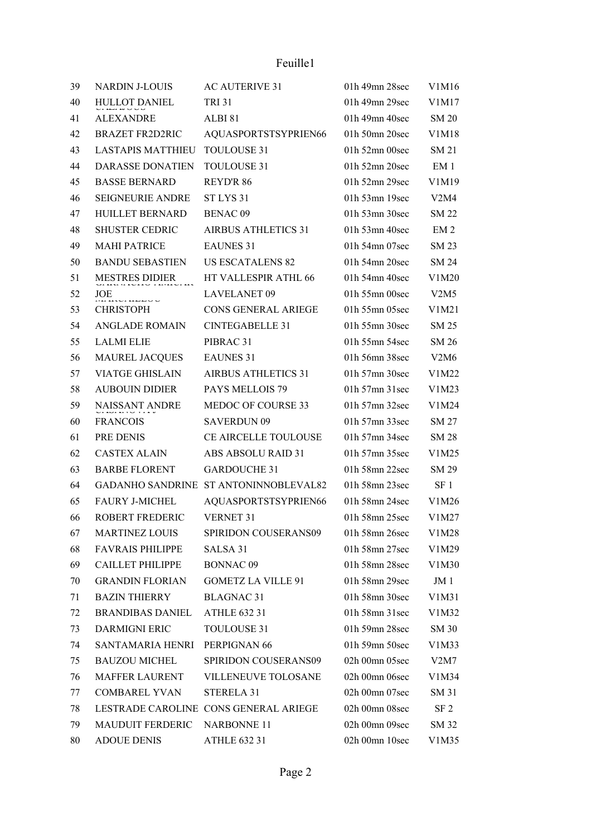| 39 | <b>NARDIN J-LOUIS</b>    | <b>AC AUTERIVE 31</b>                 | 01h 49mn 28sec   | V1M16           |
|----|--------------------------|---------------------------------------|------------------|-----------------|
| 40 | HULLOT DANIEL            | <b>TRI 31</b>                         | 01h 49mn 29sec   | V1M17           |
| 41 | <b>ALEXANDRE</b>         | <b>ALBI 81</b>                        | 01h 49mn 40sec   | <b>SM 20</b>    |
| 42 | <b>BRAZET FR2D2RIC</b>   | AQUASPORTSTSYPRIEN66                  | $01h$ 50mn 20sec | V1M18           |
| 43 | <b>LASTAPIS MATTHIEU</b> | <b>TOULOUSE 31</b>                    | 01h 52mn 00sec   | SM 21           |
| 44 | <b>DARASSE DONATIEN</b>  | TOULOUSE 31                           | 01h 52mn 20sec   | EM 1            |
| 45 | <b>BASSE BERNARD</b>     | REYD'R 86                             | 01h 52mn 29sec   | V1M19           |
| 46 | <b>SEIGNEURIE ANDRE</b>  | ST LYS 31                             | 01h 53mn 19sec   | V2M4            |
| 47 | HUILLET BERNARD          | <b>BENAC 09</b>                       | 01h 53mn 30sec   | SM 22           |
| 48 | <b>SHUSTER CEDRIC</b>    | <b>AIRBUS ATHLETICS 31</b>            | 01h 53mn 40sec   | EM <sub>2</sub> |
| 49 | <b>MAHI PATRICE</b>      | <b>EAUNES 31</b>                      | 01h 54mn 07sec   | SM 23           |
| 50 | <b>BANDU SEBASTIEN</b>   | <b>US ESCATALENS 82</b>               | 01h 54mn 20sec   | <b>SM 24</b>    |
| 51 | MESTRES DIDIER           | HT VALLESPIR ATHL 66                  | 01h 54mn 40sec   | V1M20           |
| 52 | JOE<br>ن با با با با با  | <b>LAVELANET 09</b>                   | 01h 55mn 00sec   | V2M5            |
| 53 | <b>CHRISTOPH</b>         | <b>CONS GENERAL ARIEGE</b>            | 01h 55mn 05sec   | V1M21           |
| 54 | <b>ANGLADE ROMAIN</b>    | <b>CINTEGABELLE 31</b>                | 01h 55mn 30sec   | SM 25           |
| 55 | <b>LALMI ELIE</b>        | PIBRAC 31                             | 01h 55mn 54sec   | SM 26           |
| 56 | <b>MAUREL JACQUES</b>    | <b>EAUNES 31</b>                      | 01h 56mn 38sec   | V2M6            |
| 57 | <b>VIATGE GHISLAIN</b>   | <b>AIRBUS ATHLETICS 31</b>            | 01h 57mn 30sec   | V1M22           |
| 58 | <b>AUBOUIN DIDIER</b>    | PAYS MELLOIS 79                       | $01h$ 57mn 31sec | V1M23           |
| 59 | NAISSANT ANDRE           | MEDOC OF COURSE 33                    | 01h 57mn 32sec   | V1M24           |
| 60 | <b>FRANCOIS</b>          | <b>SAVERDUN 09</b>                    | 01h 57mn 33sec   | SM 27           |
| 61 | PRE DENIS                | CE AIRCELLE TOULOUSE                  | 01h 57mn 34sec   | SM 28           |
| 62 | <b>CASTEX ALAIN</b>      | ABS ABSOLU RAID 31                    | 01h 57mn 35sec   | V1M25           |
| 63 | <b>BARBE FLORENT</b>     | <b>GARDOUCHE 31</b>                   | 01h 58mn 22sec   | SM 29           |
| 64 |                          | GADANHO SANDRINE ST ANTONINNOBLEVAL82 | 01h 58mn 23sec   | SF 1            |
| 65 | <b>FAURY J-MICHEL</b>    | AQUASPORTSTSYPRIEN66                  | 01h 58mn 24sec   | V1M26           |
| 66 | ROBERT FREDERIC          | VERNET 31                             | 01h 58mn 25sec   | V1M27           |
| 67 | <b>MARTINEZ LOUIS</b>    | SPIRIDON COUSERANS09                  | 01h 58mn 26sec   | V1M28           |
| 68 | <b>FAVRAIS PHILIPPE</b>  | SALSA 31                              | 01h 58mn 27sec   | V1M29           |
| 69 | <b>CAILLET PHILIPPE</b>  | <b>BONNAC 09</b>                      | 01h 58mn 28sec   | V1M30           |
| 70 | <b>GRANDIN FLORIAN</b>   | <b>GOMETZ LA VILLE 91</b>             | 01h 58mn 29sec   | JM 1            |
| 71 | <b>BAZIN THIERRY</b>     | <b>BLAGNAC 31</b>                     | 01h 58mn 30sec   | V1M31           |
| 72 | <b>BRANDIBAS DANIEL</b>  | <b>ATHLE 632 31</b>                   | 01h 58mn 31sec   | V1M32           |
| 73 | <b>DARMIGNI ERIC</b>     | <b>TOULOUSE 31</b>                    | 01h 59mn 28sec   | <b>SM 30</b>    |
| 74 | SANTAMARIA HENRI         | PERPIGNAN 66                          | 01h 59mn 50sec   | V1M33           |
| 75 | <b>BAUZOU MICHEL</b>     | SPIRIDON COUSERANS09                  | 02h 00mn 05sec   | V2M7            |
| 76 | <b>MAFFER LAURENT</b>    | VILLENEUVE TOLOSANE                   | 02h 00mn 06sec   | V1M34           |
| 77 | <b>COMBAREL YVAN</b>     | STERELA 31                            | 02h 00mn 07sec   | SM 31           |
| 78 |                          | LESTRADE CAROLINE CONS GENERAL ARIEGE | 02h 00mn 08sec   | SF <sub>2</sub> |
| 79 | <b>MAUDUIT FERDERIC</b>  | <b>NARBONNE 11</b>                    | 02h 00mn 09sec   | SM 32           |
| 80 | <b>ADOUE DENIS</b>       | <b>ATHLE 632 31</b>                   | 02h 00mn 10sec   | V1M35           |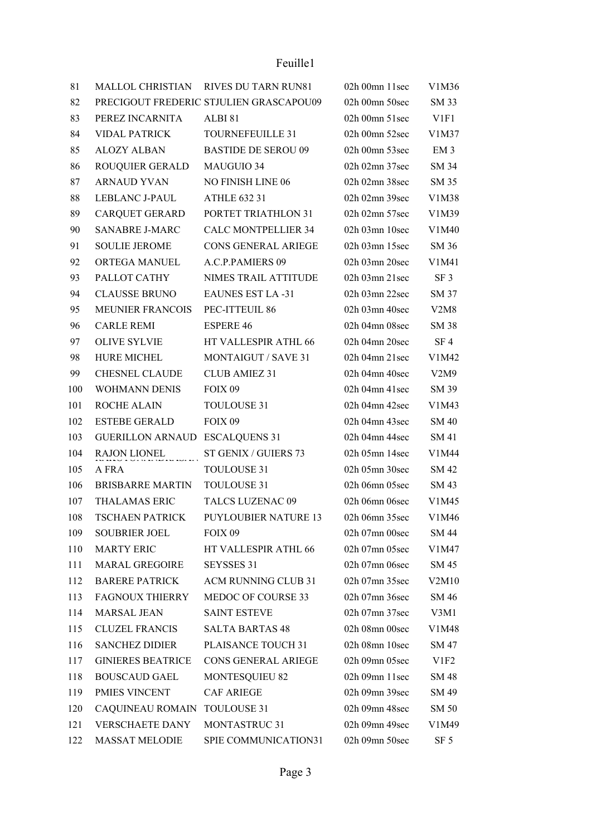| 81  | <b>MALLOL CHRISTIAN</b>  | RIVES DU TARN RUN81                     | 02h 00mn 11sec     | V1M36            |
|-----|--------------------------|-----------------------------------------|--------------------|------------------|
| 82  |                          | PRECIGOUT FREDERIC STJULIEN GRASCAPOU09 | 02h 00mn 50sec     | SM 33            |
| 83  | PEREZ INCARNITA          | ALBI <sub>81</sub>                      | 02h 00mn 51sec     | V <sub>1F1</sub> |
| 84  | <b>VIDAL PATRICK</b>     | <b>TOURNEFEUILLE 31</b>                 | 02h 00mn 52sec     | V1M37            |
| 85  | <b>ALOZY ALBAN</b>       | <b>BASTIDE DE SEROU 09</b>              | 02h 00mn 53sec     | EM <sub>3</sub>  |
| 86  | ROUQUIER GERALD          | MAUGUIO 34                              | 02h 02mn 37sec     | SM 34            |
| 87  | <b>ARNAUD YVAN</b>       | NO FINISH LINE 06                       | 02h 02mn 38sec     | SM 35            |
| 88  | LEBLANC J-PAUL           | <b>ATHLE 632 31</b>                     | $02h$ 02mn 39sec   | V1M38            |
| 89  | <b>CARQUET GERARD</b>    | PORTET TRIATHLON 31                     | 02h 02mn 57sec     | V1M39            |
| 90  | <b>SANABRE J-MARC</b>    | <b>CALC MONTPELLIER 34</b>              | $02h$ 03mn $10sec$ | V1M40            |
| 91  | <b>SOULIE JEROME</b>     | CONS GENERAL ARIEGE                     | 02h 03mn 15sec     | SM 36            |
| 92  | ORTEGA MANUEL            | A.C.P.PAMIERS 09                        | $02h$ 03mn 20sec   | V1M41            |
| 93  | PALLOT CATHY             | NIMES TRAIL ATTITUDE                    | $02h$ 03mn $21sec$ | SF <sub>3</sub>  |
| 94  | <b>CLAUSSE BRUNO</b>     | <b>EAUNES EST LA-31</b>                 | 02h 03mn 22sec     | SM 37            |
| 95  | MEUNIER FRANCOIS         | PEC-ITTEUIL 86                          | $02h$ 03mn 40sec   | V2M8             |
| 96  | <b>CARLE REMI</b>        | <b>ESPERE 46</b>                        | 02h 04mn 08sec     | SM 38            |
| 97  | <b>OLIVE SYLVIE</b>      | HT VALLESPIR ATHL 66                    | 02h 04mn 20sec     | SF 4             |
| 98  | <b>HURE MICHEL</b>       | MONTAIGUT / SAVE 31                     | $02h$ 04mn $21sec$ | V1M42            |
| 99  | <b>CHESNEL CLAUDE</b>    | <b>CLUB AMIEZ 31</b>                    | $02h$ 04mn 40sec   | V2M9             |
| 100 | <b>WOHMANN DENIS</b>     | FOIX 09                                 | $02h$ 04mn 41sec   | SM 39            |
| 101 | <b>ROCHE ALAIN</b>       | <b>TOULOUSE 31</b>                      | 02h 04mn 42sec     | V1M43            |
| 102 | <b>ESTEBE GERALD</b>     | FOIX 09                                 | 02h 04mn 43sec     | SM 40            |
| 103 | <b>GUERILLON ARNAUD</b>  | <b>ESCALQUENS 31</b>                    | 02h 04mn 44sec     | SM 41            |
| 104 | RAJON LIONEL             | ST GENIX / GUIERS 73                    | 02h 05mn 14sec     | V1M44            |
| 105 | A FRA                    | <b>TOULOUSE 31</b>                      | 02h 05mn 30sec     | SM 42            |
| 106 | <b>BRISBARRE MARTIN</b>  | TOULOUSE 31                             | 02h 06mn 05sec     | SM 43            |
| 107 | <b>THALAMAS ERIC</b>     | TALCS LUZENAC 09                        | 02h 06mn 06sec     | V1M45            |
| 108 | <b>TSCHAEN PATRICK</b>   | <b>PUYLOUBIER NATURE 13</b>             | 02h 06mn 35sec     | V1M46            |
| 109 | <b>SOUBRIER JOEL</b>     | FOIX 09                                 | 02h 07mn 00sec     | SM 44            |
| 110 | <b>MARTY ERIC</b>        | HT VALLESPIR ATHL 66                    | 02h 07mn 05sec     | V1M47            |
| 111 | <b>MARAL GREGOIRE</b>    | <b>SEYSSES 31</b>                       | 02h 07mn 06sec     | SM 45            |
| 112 | <b>BARERE PATRICK</b>    | <b>ACM RUNNING CLUB 31</b>              | 02h 07mn 35sec     | V2M10            |
| 113 | <b>FAGNOUX THIERRY</b>   | MEDOC OF COURSE 33                      | 02h 07mn 36sec     | SM 46            |
| 114 | <b>MARSAL JEAN</b>       | <b>SAINT ESTEVE</b>                     | 02h 07mn 37sec     | V3M1             |
| 115 | <b>CLUZEL FRANCIS</b>    | <b>SALTA BARTAS 48</b>                  | 02h 08mn 00sec     | V1M48            |
| 116 | <b>SANCHEZ DIDIER</b>    | PLAISANCE TOUCH 31                      | 02h 08mn 10sec     | SM 47            |
| 117 | <b>GINIERES BEATRICE</b> | <b>CONS GENERAL ARIEGE</b>              | 02h 09mn 05sec     | V1F2             |
| 118 | <b>BOUSCAUD GAEL</b>     | <b>MONTESQUIEU 82</b>                   | 02h 09mn 11sec     | SM 48            |
| 119 | PMIES VINCENT            | <b>CAF ARIEGE</b>                       | 02h 09mn 39sec     | SM 49            |
| 120 | CAQUINEAU ROMAIN         | TOULOUSE 31                             | 02h 09mn 48sec     | SM 50            |
| 121 | <b>VERSCHAETE DANY</b>   | <b>MONTASTRUC 31</b>                    | 02h 09mn 49sec     | V1M49            |
| 122 | <b>MASSAT MELODIE</b>    | SPIE COMMUNICATION31                    | 02h 09mn 50sec     | SF 5             |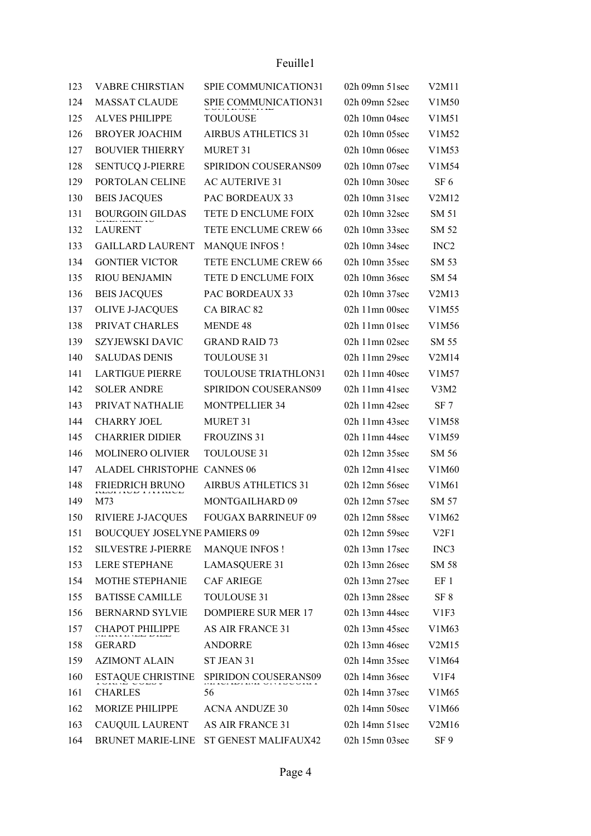| 123 | <b>VABRE CHIRSTIAN</b>       | SPIE COMMUNICATION31       | 02h 09mn 51sec     | V2M11            |
|-----|------------------------------|----------------------------|--------------------|------------------|
| 124 | <b>MASSAT CLAUDE</b>         | SPIE COMMUNICATION31       | 02h 09mn 52sec     | V1M50            |
| 125 | <b>ALVES PHILIPPE</b>        | TOULOUSE                   | 02h 10mn 04sec     | V1M51            |
| 126 | <b>BROYER JOACHIM</b>        | <b>AIRBUS ATHLETICS 31</b> | 02h 10mn 05sec     | V1M52            |
| 127 | <b>BOUVIER THIERRY</b>       | MURET 31                   | 02h 10mn 06sec     | V1M53            |
| 128 | <b>SENTUCQ J-PIERRE</b>      | SPIRIDON COUSERANS09       | 02h 10mn 07sec     | V1M54            |
| 129 | PORTOLAN CELINE              | <b>AC AUTERIVE 31</b>      | 02h 10mn 30sec     | SF 6             |
| 130 | <b>BEIS JACQUES</b>          | PAC BORDEAUX 33            | 02h 10mn 31sec     | V2M12            |
| 131 | <b>BOURGOIN GILDAS</b>       | TETE D ENCLUME FOIX        | 02h 10mn 32sec     | SM 51            |
| 132 | <b>LAURENT</b>               | TETE ENCLUME CREW 66       | 02h 10mn 33sec     | SM 52            |
| 133 | <b>GAILLARD LAURENT</b>      | <b>MANQUE INFOS!</b>       | 02h 10mn 34sec     | INC <sub>2</sub> |
| 134 | <b>GONTIER VICTOR</b>        | TETE ENCLUME CREW 66       | 02h 10mn 35sec     | SM 53            |
| 135 | <b>RIOU BENJAMIN</b>         | TETE D ENCLUME FOIX        | 02h 10mn 36sec     | SM 54            |
| 136 | <b>BEIS JACQUES</b>          | PAC BORDEAUX 33            | 02h 10mn 37sec     | V2M13            |
| 137 | <b>OLIVE J-JACQUES</b>       | CA BIRAC 82                | 02h 11mn 00sec     | V1M55            |
| 138 | PRIVAT CHARLES               | <b>MENDE 48</b>            | $02h$ 11mn $01sec$ | V1M56            |
| 139 | SZYJEWSKI DAVIC              | <b>GRAND RAID 73</b>       | 02h 11mn 02sec     | SM 55            |
| 140 | <b>SALUDAS DENIS</b>         | <b>TOULOUSE 31</b>         | 02h 11mn 29sec     | V2M14            |
| 141 | <b>LARTIGUE PIERRE</b>       | TOULOUSE TRIATHLON31       | 02h 11mn 40sec     | V1M57            |
| 142 | <b>SOLER ANDRE</b>           | SPIRIDON COUSERANS09       | 02h 11mn 41sec     | V3M2             |
| 143 | PRIVAT NATHALIE              | <b>MONTPELLIER 34</b>      | 02h 11mn 42sec     | SF <sub>7</sub>  |
| 144 | <b>CHARRY JOEL</b>           | MURET 31                   | 02h 11mn 43sec     | V1M58            |
| 145 | <b>CHARRIER DIDIER</b>       | <b>FROUZINS 31</b>         | 02h 11mn 44sec     | V1M59            |
| 146 | MOLINERO OLIVIER             | <b>TOULOUSE 31</b>         | 02h 12mn 35sec     | SM 56            |
| 147 | ALADEL CHRISTOPHE CANNES 06  |                            | $02h$ 12mn 41sec   | V1M60            |
| 148 | FRIEDRICH BRUNO              | <b>AIRBUS ATHLETICS 31</b> | 02h 12mn 56sec     | V1M61            |
| 149 | M73                          | MONTGAILHARD 09            | 02h 12mn 57sec     | SM 57            |
| 150 | RIVIERE J-JACQUES            | <b>FOUGAX BARRINEUF 09</b> | 02h 12mn 58sec     | V1M62            |
| 151 | BOUCQUEY JOSELYNE PAMIERS 09 |                            | 02h 12mn 59sec     | V2F1             |
| 152 | <b>SILVESTRE J-PIERRE</b>    | <b>MANQUE INFOS!</b>       | 02h 13mn 17sec     | INC <sub>3</sub> |
| 153 | LERE STEPHANE                | <b>LAMASQUERE 31</b>       | 02h 13mn 26sec     | SM 58            |
| 154 | MOTHE STEPHANIE              | <b>CAF ARIEGE</b>          | 02h 13mn 27sec     | EF <sub>1</sub>  |
| 155 | <b>BATISSE CAMILLE</b>       | TOULOUSE 31                | 02h 13mn 28sec     | SF 8             |
| 156 | <b>BERNARND SYLVIE</b>       | <b>DOMPIERE SUR MER 17</b> | 02h 13mn 44sec     | V1F3             |
| 157 | <b>CHAPOT PHILIPPE</b>       | <b>AS AIR FRANCE 31</b>    | 02h 13mn 45sec     | V1M63            |
| 158 | <b>GERARD</b>                | <b>ANDORRE</b>             | 02h 13mn 46sec     | V2M15            |
| 159 | <b>AZIMONT ALAIN</b>         | ST JEAN 31                 | 02h 14mn 35sec     | V1M64            |
| 160 | <b>ESTAQUE CHRISTINE</b>     | SPIRIDON COUSERANS09       | 02h 14mn 36sec     | V1F4             |
| 161 | <b>CHARLES</b>               | 56                         | 02h 14mn 37sec     | V1M65            |
| 162 | MORIZE PHILIPPE              | <b>ACNA ANDUZE 30</b>      | 02h 14mn 50sec     | V1M66            |
| 163 | CAUQUIL LAURENT              | AS AIR FRANCE 31           | 02h 14mn 51sec     | V2M16            |
| 164 | <b>BRUNET MARIE-LINE</b>     | ST GENEST MALIFAUX42       | 02h 15mn 03sec     | SF 9             |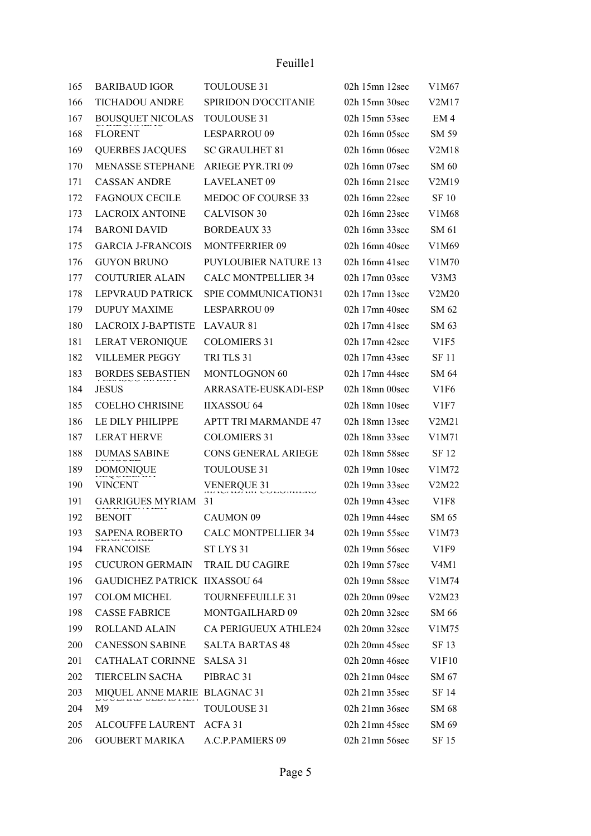| 165 | <b>BARIBAUD IGOR</b>                          | <b>TOULOUSE 31</b>          | 02h 15mn 12sec     | V1M67            |
|-----|-----------------------------------------------|-----------------------------|--------------------|------------------|
| 166 | <b>TICHADOU ANDRE</b>                         | SPIRIDON D'OCCITANIE        | 02h 15mn 30sec     | V2M17            |
| 167 | <b>BOUSQUET NICOLAS</b>                       | <b>TOULOUSE 31</b>          | 02h 15mn 53sec     | EM 4             |
| 168 | <b>FLORENT</b>                                | LESPARROU 09                | 02h 16mn 05sec     | SM 59            |
| 169 | QUERBES JACQUES                               | <b>SC GRAULHET 81</b>       | 02h 16mn 06sec     | V2M18            |
| 170 | <b>MENASSE STEPHANE</b>                       | <b>ARIEGE PYR.TRI 09</b>    | 02h 16mn 07sec     | SM 60            |
| 171 | <b>CASSAN ANDRE</b>                           | <b>LAVELANET 09</b>         | $02h$ 16mn $21sec$ | V2M19            |
| 172 | <b>FAGNOUX CECILE</b>                         | MEDOC OF COURSE 33          | 02h 16mn 22sec     | SF 10            |
| 173 | <b>LACROIX ANTOINE</b>                        | <b>CALVISON 30</b>          | 02h 16mn 23sec     | V1M68            |
| 174 | <b>BARONI DAVID</b>                           | <b>BORDEAUX 33</b>          | 02h 16mn 33sec     | SM 61            |
| 175 | <b>GARCIA J-FRANCOIS</b>                      | <b>MONTFERRIER 09</b>       | 02h 16mn 40sec     | V1M69            |
| 176 | <b>GUYON BRUNO</b>                            | <b>PUYLOUBIER NATURE 13</b> | 02h 16mn 41sec     | V1M70            |
| 177 | <b>COUTURIER ALAIN</b>                        | <b>CALC MONTPELLIER 34</b>  | 02h 17mn 03sec     | V3M3             |
| 178 | LEPVRAUD PATRICK                              | SPIE COMMUNICATION31        | 02h 17mn 13sec     | V2M20            |
| 179 | <b>DUPUY MAXIME</b>                           | LESPARROU 09                | 02h 17mn 40sec     | SM 62            |
| 180 | <b>LACROIX J-BAPTISTE</b>                     | <b>LAVAUR 81</b>            | 02h 17mn 41sec     | SM 63            |
| 181 | LERAT VERONIQUE                               | <b>COLOMIERS 31</b>         | 02h 17mn 42sec     | V <sub>1F5</sub> |
| 182 | VILLEMER PEGGY                                | TRI TLS 31                  | 02h 17mn 43sec     | <b>SF</b> 11     |
| 183 | BORDES SEBASTIEN                              | MONTLOGNON 60               | 02h 17mn 44sec     | SM 64            |
| 184 | JESUS                                         | ARRASATE-EUSKADI-ESP        | 02h 18mn 00sec     | V <sub>1F6</sub> |
| 185 | COELHO CHRISINE                               | <b>IIXASSOU 64</b>          | 02h 18mn 10sec     | V1F7             |
| 186 | LE DILY PHILIPPE                              | <b>APTT TRI MARMANDE 47</b> | 02h 18mn 13sec     | V2M21            |
| 187 | <b>LERAT HERVE</b>                            | <b>COLOMIERS 31</b>         | 02h 18mn 33sec     | V1M71            |
| 188 | <b>DUMAS SABINE</b>                           | <b>CONS GENERAL ARIEGE</b>  | 02h 18mn 58sec     | SF 12            |
| 189 | DOMONIQUE                                     | <b>TOULOUSE 31</b>          | 02h 19mn 10sec     | V1M72            |
| 190 | <b>VINCENT</b>                                | VENERQUE 31                 | 02h 19mn 33sec     | V2M22            |
| 191 | <b>GARRIGUES MYRIAM</b><br><b>Uniman Para</b> | 31                          | 02h 19mn 43sec     | V <sub>1F8</sub> |
| 192 | <b>BENOIT</b>                                 | CAUMON 09                   | 02h 19mn 44sec     | SM 65            |
| 193 | <b>SAPENA ROBERTO</b>                         | <b>CALC MONTPELLIER 34</b>  | 02h 19mn 55sec     | V1M73            |
| 194 | <b>FRANCOISE</b>                              | ST LYS 31                   | 02h 19mn 56sec     | V1F9             |
| 195 | <b>CUCURON GERMAIN</b>                        | <b>TRAIL DU CAGIRE</b>      | 02h 19mn 57sec     | V4M1             |
| 196 | <b>GAUDICHEZ PATRICK IIXASSOU 64</b>          |                             | 02h 19mn 58sec     | V1M74            |
| 197 | <b>COLOM MICHEL</b>                           | TOURNEFEUILLE 31            | 02h 20mn 09sec     | V2M23            |
| 198 | <b>CASSE FABRICE</b>                          | MONTGAILHARD 09             | 02h 20mn 32sec     | SM 66            |
| 199 | ROLLAND ALAIN                                 | <b>CA PERIGUEUX ATHLE24</b> | 02h 20mn 32sec     | V1M75            |
| 200 | <b>CANESSON SABINE</b>                        | <b>SALTA BARTAS 48</b>      | 02h 20mn 45sec     | SF 13            |
| 201 | <b>CATHALAT CORINNE</b>                       | SALSA 31                    | 02h 20mn 46sec     | V1F10            |
| 202 | TIERCELIN SACHA                               | PIBRAC 31                   | 02h 21mn 04sec     | SM 67            |
| 203 | MIQUEL ANNE MARIE BLAGNAC 31                  |                             | $02h$ 21mn 35sec   | SF 14            |
| 204 | M9                                            | <b>TOULOUSE 31</b>          | $02h$ 21mn 36sec   | SM 68            |
| 205 | <b>ALCOUFFE LAURENT</b>                       | ACFA 31                     | 02h 21mn 45sec     | SM 69            |
| 206 | <b>GOUBERT MARIKA</b>                         | A.C.P.PAMIERS 09            | 02h 21mn 56sec     | SF 15            |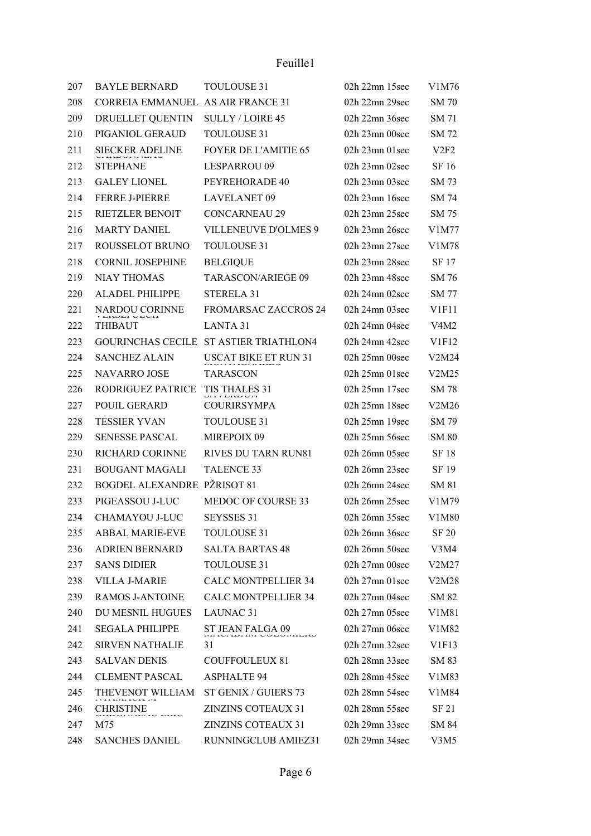| 207 | <b>BAYLE BERNARD</b>                         | <b>TOULOUSE 31</b>                     | 02h 22mn 15sec     | V1M76                       |
|-----|----------------------------------------------|----------------------------------------|--------------------|-----------------------------|
| 208 | <b>CORREIA EMMANUEL AS AIR FRANCE 31</b>     |                                        | 02h 22mn 29sec     | <b>SM 70</b>                |
| 209 | DRUELLET QUENTIN                             | <b>SULLY / LOIRE 45</b>                | 02h 22mn 36sec     | SM 71                       |
| 210 | PIGANIOL GERAUD                              | <b>TOULOUSE 31</b>                     | $02h$ 23mn $00sec$ | SM 72                       |
| 211 | <b>SIECKER ADELINE</b>                       | <b>FOYER DE L'AMITIE 65</b>            | $02h$ 23mn $01sec$ | V <sub>2F<sub>2</sub></sub> |
| 212 | STEPHANE                                     | <b>LESPARROU 09</b>                    | 02h 23mn 02sec     | SF 16                       |
| 213 | <b>GALEY LIONEL</b>                          | PEYREHORADE 40                         | $02h$ 23mn $03sec$ | SM 73                       |
| 214 | <b>FERRE J-PIERRE</b>                        | <b>LAVELANET 09</b>                    | 02h 23mn 16sec     | SM 74                       |
| 215 | RIETZLER BENOIT                              | <b>CONCARNEAU 29</b>                   | 02h 23mn 25sec     | SM 75                       |
| 216 | <b>MARTY DANIEL</b>                          | <b>VILLENEUVE D'OLMES 9</b>            | 02h 23mn 26sec     | V1M77                       |
| 217 | ROUSSELOT BRUNO                              | <b>TOULOUSE 31</b>                     | 02h 23mn 27sec     | V1M78                       |
| 218 | <b>CORNIL JOSEPHINE</b>                      | <b>BELGIQUE</b>                        | 02h 23mn 28sec     | SF 17                       |
| 219 | NIAY THOMAS                                  | TARASCON/ARIEGE 09                     | 02h 23mn 48sec     | SM 76                       |
| 220 | <b>ALADEL PHILIPPE</b>                       | STERELA 31                             | 02h 24mn 02sec     | SM 77                       |
| 221 | NARDOU CORINNE                               | <b>FROMARSAC ZACCROS 24</b>            | $02h$ 24mn $03sec$ | V1F11                       |
| 222 | <b>THIBAUT</b>                               | <b>LANTA 31</b>                        | $02h$ 24mn 04sec   | V4M2                        |
| 223 |                                              | GOURINCHAS CECILE ST ASTIER TRIATHLON4 | 02h 24mn 42sec     | V1F12                       |
| 224 | <b>SANCHEZ ALAIN</b>                         | <b>USCAT BIKE ET RUN 31</b>            | 02h 25mn 00sec     | V2M24                       |
| 225 | <b>NAVARRO JOSE</b>                          | <b>TARASCON</b>                        | $02h$ 25mn $01sec$ | V2M25                       |
| 226 | RODRIGUEZ PATRICE                            | TIS THALES 31                          | 02h 25mn 17sec     | SM 78                       |
| 227 | POUIL GERARD                                 | <b>COURIRSYMPA</b>                     | 02h 25mn 18sec     | V2M26                       |
| 228 | <b>TESSIER YVAN</b>                          | TOULOUSE 31                            | 02h 25mn 19sec     | SM 79                       |
| 229 | <b>SENESSE PASCAL</b>                        | MIREPOIX 09                            | 02h 25mn 56sec     | <b>SM 80</b>                |
| 230 | RICHARD CORINNE                              | RIVES DU TARN RUN81                    | 02h 26mn 05sec     | SF 18                       |
| 231 | <b>BOUGANT MAGALI</b>                        | <b>TALENCE 33</b>                      | 02h 26mn 23sec     | SF 19                       |
| 232 | <b>BOGDEL ALEXANDRE PŽRISOT 81</b>           |                                        | 02h 26mn 24sec     | SM 81                       |
| 233 | PIGEASSOU J-LUC                              | MEDOC OF COURSE 33                     | 02h 26mn 25sec     | V1M79                       |
| 234 | CHAMAYOU J-LUC                               | <b>SEYSSES 31</b>                      | 02h 26mn 35sec     | V1M80                       |
| 235 | ABBAL MARIE-EVE                              | <b>TOULOUSE 31</b>                     | 02h 26mn 36sec     | SF 20                       |
| 236 | <b>ADRIEN BERNARD</b>                        | <b>SALTA BARTAS 48</b>                 | 02h 26mn 50sec     | V3M4                        |
| 237 | <b>SANS DIDIER</b>                           | <b>TOULOUSE 31</b>                     | $02h$ 27mn $00sec$ | V2M27                       |
| 238 | <b>VILLA J-MARIE</b>                         | <b>CALC MONTPELLIER 34</b>             | $02h$ 27mn $01sec$ | V2M28                       |
| 239 | <b>RAMOS J-ANTOINE</b>                       | <b>CALC MONTPELLIER 34</b>             | 02h 27mn 04sec     | SM 82                       |
| 240 | DU MESNIL HUGUES                             | LAUNAC <sub>31</sub>                   | 02h 27mn 05sec     | V1M81                       |
| 241 | <b>SEGALA PHILIPPE</b>                       | ST JEAN FALGA 09                       | 02h 27mn 06sec     | V1M82                       |
| 242 | <b>SIRVEN NATHALIE</b>                       | 31                                     | 02h 27mn 32sec     | V1F13                       |
| 243 | <b>SALVAN DENIS</b>                          | <b>COUFFOULEUX 81</b>                  | 02h 28mn 33sec     | SM 83                       |
| 244 | <b>CLEMENT PASCAL</b>                        | <b>ASPHALTE 94</b>                     | 02h 28mn 45sec     | V1M83                       |
| 245 | THEVENOT WILLIAM                             | ST GENIX / GUIERS 73                   | 02h 28mn 54sec     | V1M84                       |
| 246 | <b>CHRISTINE</b><br>بخصصات بالجميلة والماردة | <b>ZINZINS COTEAUX 31</b>              | 02h 28mn 55sec     | SF 21                       |
| 247 | M75                                          | <b>ZINZINS COTEAUX 31</b>              | $02h$ 29mn 33sec   | SM 84                       |
| 248 | <b>SANCHES DANIEL</b>                        | RUNNINGCLUB AMIEZ31                    | 02h 29mn 34sec     | V3M5                        |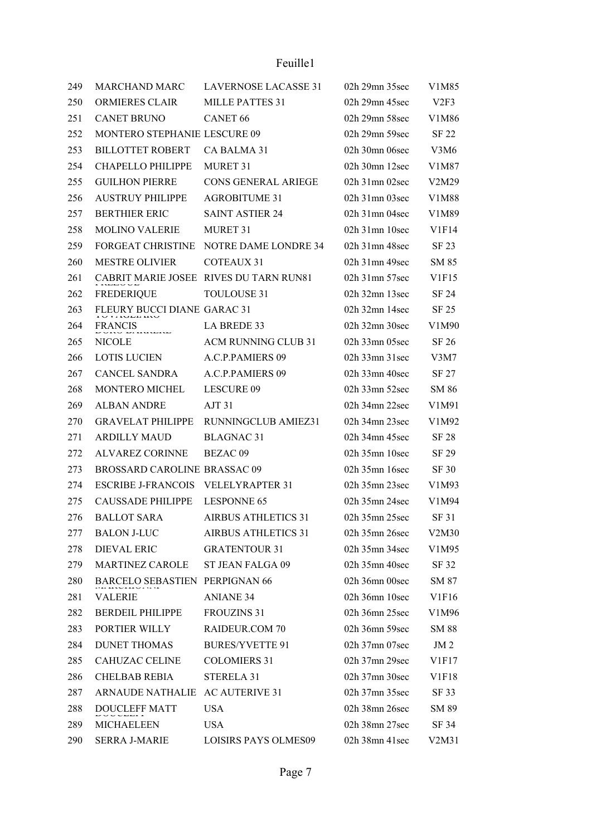| 249 | <b>MARCHAND MARC</b>                            | LAVERNOSE LACASSE 31                   | 02h 29mn 35sec     | V1M85        |
|-----|-------------------------------------------------|----------------------------------------|--------------------|--------------|
| 250 | <b>ORMIERES CLAIR</b>                           | <b>MILLE PATTES 31</b>                 | 02h 29mn 45sec     | V2F3         |
| 251 | <b>CANET BRUNO</b>                              | <b>CANET 66</b>                        | 02h 29mn 58sec     | V1M86        |
| 252 | <b>MONTERO STEPHANIE LESCURE 09</b>             |                                        | 02h 29mn 59sec     | SF 22        |
| 253 | <b>BILLOTTET ROBERT</b>                         | CA BALMA 31                            | 02h 30mn 06sec     | V3M6         |
| 254 | <b>CHAPELLO PHILIPPE</b>                        | <b>MURET 31</b>                        | 02h 30mn 12sec     | V1M87        |
| 255 | <b>GUILHON PIERRE</b>                           | <b>CONS GENERAL ARIEGE</b>             | $02h$ 31mn $02sec$ | V2M29        |
| 256 | <b>AUSTRUY PHILIPPE</b>                         | <b>AGROBITUME 31</b>                   | $02h$ 31mn $03sec$ | V1M88        |
| 257 | <b>BERTHIER ERIC</b>                            | <b>SAINT ASTIER 24</b>                 | $02h$ 31mn 04sec   | V1M89        |
| 258 | <b>MOLINO VALERIE</b>                           | MURET 31                               | $02h$ 31mn 10sec   | V1F14        |
| 259 | <b>FORGEAT CHRISTINE</b>                        | NOTRE DAME LONDRE 34                   | $02h$ 31mn 48sec   | SF 23        |
| 260 | <b>MESTRE OLIVIER</b>                           | <b>COTEAUX 31</b>                      | 02h 31mn 49sec     | SM 85        |
| 261 |                                                 | CABRIT MARIE JOSEE RIVES DU TARN RUN81 | $02h$ 31mn 57sec   | V1F15        |
| 262 | <b>FREDERIQUE</b>                               | <b>TOULOUSE 31</b>                     | 02h 32mn 13sec     | SF 24        |
| 263 | FLEURY BUCCI DIANE GARAC 31<br><b>TILOLIANO</b> |                                        | 02h 32mn 14sec     | SF 25        |
| 264 | <b>FRANCIS</b><br>no maaana                     | LA BREDE 33                            | $02h$ 32mn 30sec   | V1M90        |
| 265 | NICOLE                                          | <b>ACM RUNNING CLUB 31</b>             | 02h 33mn 05sec     | SF 26        |
| 266 | LOTIS LUCIEN                                    | A.C.P.PAMIERS 09                       | 02h 33mn 31sec     | V3M7         |
| 267 | <b>CANCEL SANDRA</b>                            | A.C.P.PAMIERS 09                       | 02h 33mn 40sec     | SF 27        |
| 268 | MONTERO MICHEL                                  | LESCURE 09                             | 02h 33mn 52sec     | SM 86        |
| 269 | <b>ALBAN ANDRE</b>                              | AJT31                                  | 02h 34mn 22sec     | V1M91        |
| 270 | <b>GRAVELAT PHILIPPE</b>                        | <b>RUNNINGCLUB AMIEZ31</b>             | 02h 34mn 23sec     | V1M92        |
| 271 | <b>ARDILLY MAUD</b>                             | <b>BLAGNAC 31</b>                      | 02h 34mn 45sec     | SF 28        |
| 272 | <b>ALVAREZ CORINNE</b>                          | BEZAC <sub>09</sub>                    | $02h$ 35mn $10sec$ | SF 29        |
| 273 | BROSSARD CAROLINE BRASSAC 09                    |                                        | 02h 35mn 16sec     | SF 30        |
| 274 | <b>ESCRIBE J-FRANCOIS</b>                       | <b>VELELYRAPTER 31</b>                 | 02h 35mn 23sec     | V1M93        |
| 275 | <b>CAUSSADE PHILIPPE</b>                        | <b>LESPONNE 65</b>                     | 02h 35mn 24sec     | V1M94        |
| 276 | <b>BALLOT SARA</b>                              | <b>AIRBUS ATHLETICS 31</b>             | 02h 35mn 25sec     | SF 31        |
| 277 | <b>BALON J-LUC</b>                              | <b>AIRBUS ATHLETICS 31</b>             | 02h 35mn 26sec     | V2M30        |
| 278 | <b>DIEVAL ERIC</b>                              | <b>GRATENTOUR 31</b>                   | 02h 35mn 34sec     | V1M95        |
| 279 | <b>MARTINEZ CAROLE</b>                          | ST JEAN FALGA 09                       | 02h 35mn 40sec     | SF 32        |
| 280 | <b>BARCELO SEBASTIEN</b>                        | PERPIGNAN 66                           | 02h 36mn 00sec     | SM 87        |
| 281 | VALERIE                                         | <b>ANIANE 34</b>                       | 02h 36mn 10sec     | V1F16        |
| 282 | <b>BERDEIL PHILIPPE</b>                         | <b>FROUZINS 31</b>                     | 02h 36mn 25sec     | V1M96        |
| 283 | PORTIER WILLY                                   | <b>RAIDEUR.COM 70</b>                  | 02h 36mn 59sec     | <b>SM 88</b> |
| 284 | <b>DUNET THOMAS</b>                             | <b>BURES/YVETTE 91</b>                 | 02h 37mn 07sec     | JM2          |
| 285 | <b>CAHUZAC CELINE</b>                           | <b>COLOMIERS 31</b>                    | 02h 37mn 29sec     | V1F17        |
| 286 | <b>CHELBAB REBIA</b>                            | STERELA 31                             | 02h 37mn 30sec     | V1F18        |
| 287 | <b>ARNAUDE NATHALIE</b>                         | <b>AC AUTERIVE 31</b>                  | 02h 37mn 35sec     | SF 33        |
| 288 | <b>DOUCLEFF MATT</b>                            | <b>USA</b>                             | 02h 38mn 26sec     | SM 89        |
| 289 | MICHAELEEN                                      | <b>USA</b>                             | 02h 38mn 27sec     | SF 34        |
| 290 | <b>SERRA J-MARIE</b>                            | LOISIRS PAYS OLMES09                   | 02h 38mn 41sec     | V2M31        |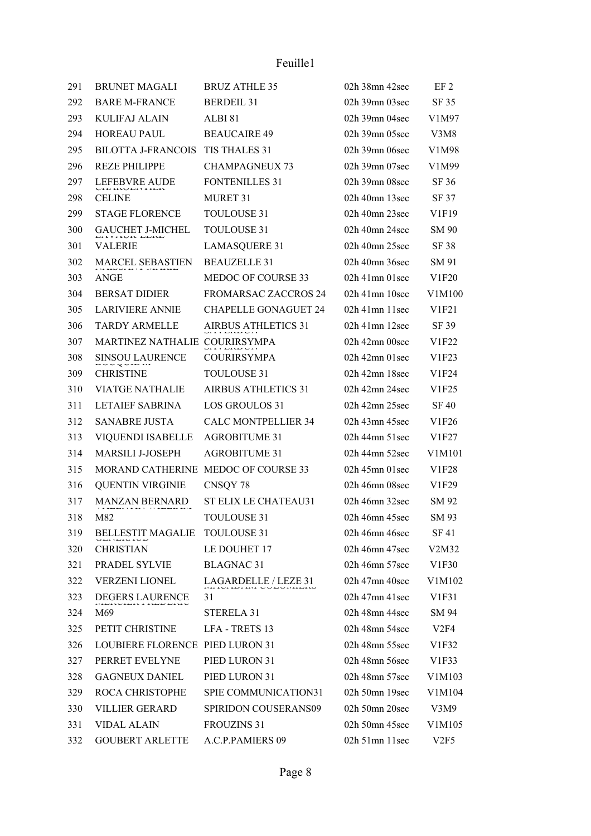| 291 | <b>BRUNET MAGALI</b>                                     | <b>BRUZ ATHLE 35</b>                | 02h 38mn 42sec     | EF <sub>2</sub> |
|-----|----------------------------------------------------------|-------------------------------------|--------------------|-----------------|
| 292 | <b>BARE M-FRANCE</b>                                     | <b>BERDEIL 31</b>                   | 02h 39mn 03sec     | SF 35           |
| 293 | <b>KULIFAJ ALAIN</b>                                     | ALBI <sub>81</sub>                  | 02h 39mn 04sec     | V1M97           |
| 294 | <b>HOREAU PAUL</b>                                       | <b>BEAUCAIRE 49</b>                 | 02h 39mn 05sec     | V3M8            |
| 295 | <b>BILOTTA J-FRANCOIS</b>                                | TIS THALES 31                       | 02h 39mn 06sec     | V1M98           |
| 296 | <b>REZE PHILIPPE</b>                                     | <b>CHAMPAGNEUX 73</b>               | 02h 39mn 07sec     | V1M99           |
| 297 | LEFEBVRE AUDE<br>                                        | <b>FONTENILLES 31</b>               | 02h 39mn 08sec     | SF 36           |
| 298 | <b>CELINE</b>                                            | MURET 31                            | 02h 40mn 13sec     | SF 37           |
| 299 | <b>STAGE FLORENCE</b>                                    | <b>TOULOUSE 31</b>                  | 02h 40mn 23sec     | V1F19           |
| 300 | GAUCHET J-MICHEL                                         | <b>TOULOUSE 31</b>                  | 02h 40mn 24sec     | SM 90           |
| 301 | <b>VALERIE</b>                                           | <b>LAMASQUERE 31</b>                | 02h 40mn 25sec     | <b>SF38</b>     |
| 302 | <b>MARCEL SEBASTIEN</b><br>UULEETE INI BISBU             | <b>BEAUZELLE 31</b>                 | 02h 40mn 36sec     | SM 91           |
| 303 | ANGE                                                     | MEDOC OF COURSE 33                  | $02h$ 41mn $01sec$ | V1F20           |
| 304 | <b>BERSAT DIDIER</b>                                     | <b>FROMARSAC ZACCROS 24</b>         | 02h 41mn 10sec     | V1M100          |
| 305 | <b>LARIVIERE ANNIE</b>                                   | <b>CHAPELLE GONAGUET 24</b>         | 02h 41mn 11sec     | V1F21           |
| 306 | <b>TARDY ARMELLE</b>                                     | AIRBUS ATHLETICS 31                 | 02h 41mn 12sec     | SF 39           |
| 307 | MARTINEZ NATHALIE COURIRSYMPA                            |                                     | 02h 42mn 00sec     | V1F22           |
| 308 | SINSOU LAURENCE<br>uu uu qurum                           | <b>COURIRSYMPA</b>                  | 02h 42mn 01sec     | V1F23           |
| 309 | <b>CHRISTINE</b>                                         | <b>TOULOUSE 31</b>                  | 02h 42mn 18sec     | V1F24           |
| 310 | <b>VIATGE NATHALIE</b>                                   | <b>AIRBUS ATHLETICS 31</b>          | 02h 42mn 24sec     | V1F25           |
| 311 | <b>LETAIEF SABRINA</b>                                   | <b>LOS GROULOS 31</b>               | 02h 42mn 25sec     | SF 40           |
| 312 | <b>SANABRE JUSTA</b>                                     | <b>CALC MONTPELLIER 34</b>          | 02h 43mn 45sec     | V1F26           |
| 313 | VIQUENDI ISABELLE                                        | <b>AGROBITUME 31</b>                | $02h$ 44mn 51sec   | V1F27           |
| 314 | <b>MARSILI J-JOSEPH</b>                                  | <b>AGROBITUME 31</b>                | 02h 44mn 52sec     | V1M101          |
| 315 |                                                          | MORAND CATHERINE MEDOC OF COURSE 33 | 02h 45mn 01sec     | <b>V1F28</b>    |
| 316 | <b>QUENTIN VIRGINIE</b>                                  | CNSQY 78                            | 02h 46mn 08sec     | V1F29           |
| 317 | <b>MANZAN BERNARD</b><br><b>TALIER VEHIT TEALERERING</b> | ST ELIX LE CHATEAU31                | 02h 46mn 32sec     | SM 92           |
| 318 | M82                                                      | <b>TOULOUSE 31</b>                  | 02h 46mn 45sec     | SM 93           |
| 319 | BELLESTIT MAGALIE                                        | TOULOUSE 31                         | 02h 46mn 46sec     | <b>SF41</b>     |
| 320 | <b>CHRISTIAN</b>                                         | LE DOUHET 17                        | 02h 46mn 47sec     | V2M32           |
| 321 | PRADEL SYLVIE                                            | <b>BLAGNAC 31</b>                   | 02h 46mn 57sec     | V1F30           |
| 322 | VERZENI LIONEL                                           | LAGARDELLE / LEZE 31                | 02h 47mn 40sec     | V1M102          |
| 323 | DEGERS LAURENCE                                          | 31                                  | 02h 47mn 41sec     | V1F31           |
| 324 | M69                                                      | STERELA 31                          | 02h 48mn 44sec     | SM 94           |
| 325 | PETIT CHRISTINE                                          | LFA - TRETS 13                      | 02h 48mn 54sec     | V2F4            |
| 326 | LOUBIERE FLORENCE PIED LURON 31                          |                                     | 02h 48mn 55sec     | V1F32           |
| 327 | PERRET EVELYNE                                           | PIED LURON 31                       | 02h 48mn 56sec     | V1F33           |
| 328 | <b>GAGNEUX DANIEL</b>                                    | PIED LURON 31                       | 02h 48mn 57sec     | V1M103          |
| 329 | ROCA CHRISTOPHE                                          | SPIE COMMUNICATION31                | 02h 50mn 19sec     | V1M104          |
| 330 | <b>VILLIER GERARD</b>                                    | SPIRIDON COUSERANS09                | 02h 50mn 20sec     | V3M9            |
| 331 | <b>VIDAL ALAIN</b>                                       | <b>FROUZINS 31</b>                  | 02h 50mn 45sec     | V1M105          |
| 332 | <b>GOUBERT ARLETTE</b>                                   | A.C.P.PAMIERS 09                    | 02h 51mn 11sec     | V2F5            |